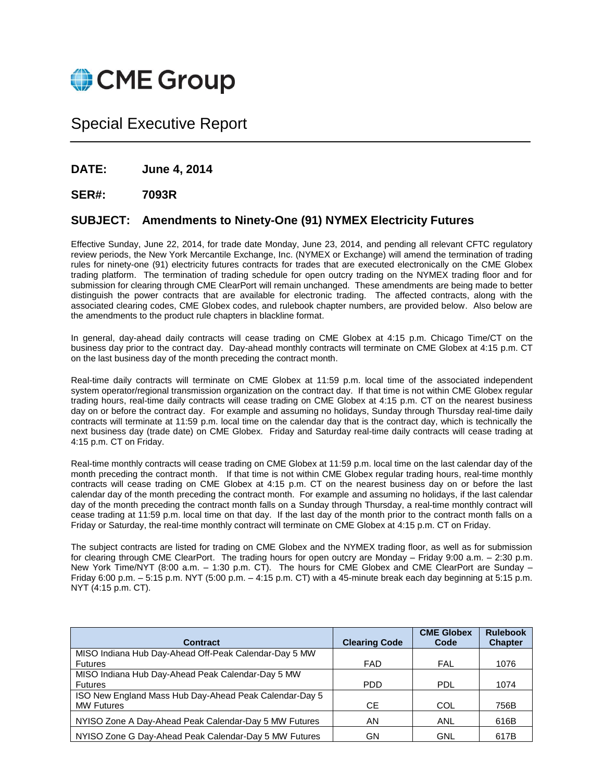

# Special Executive Report

**DATE: June 4, 2014**

#### **SER#: 7093R**

#### **SUBJECT: Amendments to Ninety-One (91) NYMEX Electricity Futures**

Effective Sunday, June 22, 2014, for trade date Monday, June 23, 2014, and pending all relevant CFTC regulatory review periods, the New York Mercantile Exchange, Inc. (NYMEX or Exchange) will amend the termination of trading rules for ninety-one (91) electricity futures contracts for trades that are executed electronically on the CME Globex trading platform. The termination of trading schedule for open outcry trading on the NYMEX trading floor and for submission for clearing through CME ClearPort will remain unchanged. These amendments are being made to better distinguish the power contracts that are available for electronic trading. The affected contracts, along with the associated clearing codes, CME Globex codes, and rulebook chapter numbers, are provided below. Also below are the amendments to the product rule chapters in blackline format.

In general, day-ahead daily contracts will cease trading on CME Globex at 4:15 p.m. Chicago Time/CT on the business day prior to the contract day. Day-ahead monthly contracts will terminate on CME Globex at 4:15 p.m. CT on the last business day of the month preceding the contract month.

Real-time daily contracts will terminate on CME Globex at 11:59 p.m. local time of the associated independent system operator/regional transmission organization on the contract day. If that time is not within CME Globex regular trading hours, real-time daily contracts will cease trading on CME Globex at 4:15 p.m. CT on the nearest business day on or before the contract day. For example and assuming no holidays, Sunday through Thursday real-time daily contracts will terminate at 11:59 p.m. local time on the calendar day that is the contract day, which is technically the next business day (trade date) on CME Globex. Friday and Saturday real-time daily contracts will cease trading at 4:15 p.m. CT on Friday.

Real-time monthly contracts will cease trading on CME Globex at 11:59 p.m. local time on the last calendar day of the month preceding the contract month. If that time is not within CME Globex regular trading hours, real-time monthly contracts will cease trading on CME Globex at 4:15 p.m. CT on the nearest business day on or before the last calendar day of the month preceding the contract month. For example and assuming no holidays, if the last calendar day of the month preceding the contract month falls on a Sunday through Thursday, a real-time monthly contract will cease trading at 11:59 p.m. local time on that day. If the last day of the month prior to the contract month falls on a Friday or Saturday, the real-time monthly contract will terminate on CME Globex at 4:15 p.m. CT on Friday.

The subject contracts are listed for trading on CME Globex and the NYMEX trading floor, as well as for submission for clearing through CME ClearPort. The trading hours for open outcry are Monday – Friday 9:00 a.m. – 2:30 p.m. New York Time/NYT (8:00 a.m. – 1:30 p.m. CT). The hours for CME Globex and CME ClearPort are Sunday – Friday 6:00 p.m. – 5:15 p.m. NYT (5:00 p.m. – 4:15 p.m. CT) with a 45-minute break each day beginning at 5:15 p.m. NYT (4:15 p.m. CT).

| <b>Contract</b>                                        |                      | <b>CME Globex</b> | <b>Rulebook</b> |
|--------------------------------------------------------|----------------------|-------------------|-----------------|
|                                                        | <b>Clearing Code</b> | Code              | <b>Chapter</b>  |
| MISO Indiana Hub Day-Ahead Off-Peak Calendar-Day 5 MW  |                      |                   |                 |
| <b>Futures</b>                                         | <b>FAD</b>           | FAL               | 1076            |
| MISO Indiana Hub Day-Ahead Peak Calendar-Day 5 MW      |                      |                   |                 |
| <b>Futures</b>                                         | <b>PDD</b>           | <b>PDL</b>        | 1074            |
| ISO New England Mass Hub Day-Ahead Peak Calendar-Day 5 |                      |                   |                 |
| <b>MW Futures</b>                                      | <b>CE</b>            | COL               | 756B            |
| NYISO Zone A Day-Ahead Peak Calendar-Day 5 MW Futures  | ΑN                   | ANL               | 616B            |
|                                                        |                      |                   |                 |
| NYISO Zone G Day-Ahead Peak Calendar-Day 5 MW Futures  | GN                   | GNL               | 617B            |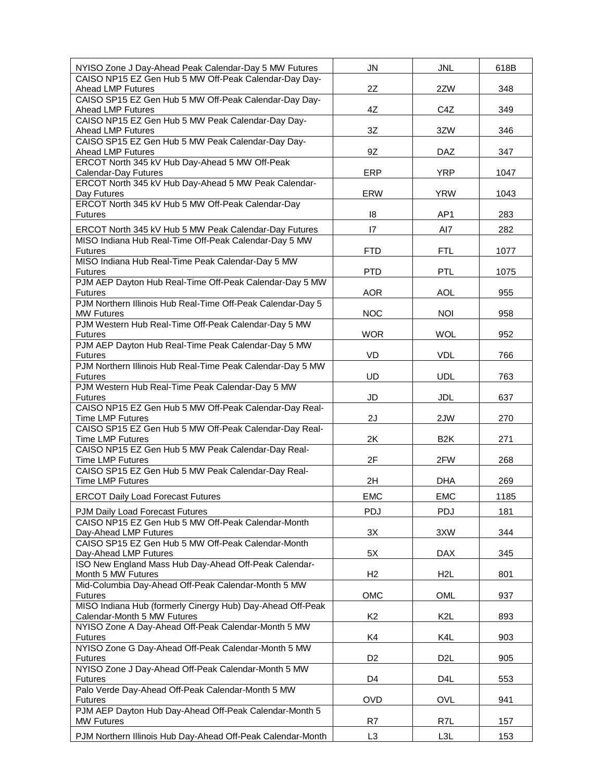| NYISO Zone J Day-Ahead Peak Calendar-Day 5 MW Futures                                                          | <b>JN</b>      | <b>JNL</b>       | 618B |
|----------------------------------------------------------------------------------------------------------------|----------------|------------------|------|
| CAISO NP15 EZ Gen Hub 5 MW Off-Peak Calendar-Day Day-<br>Ahead LMP Futures                                     | 2Z             | 2ZW              | 348  |
| CAISO SP15 EZ Gen Hub 5 MW Off-Peak Calendar-Day Day-                                                          |                |                  |      |
| Ahead LMP Futures<br>CAISO NP15 EZ Gen Hub 5 MW Peak Calendar-Day Day-                                         | 4Z             | C4Z              | 349  |
| Ahead LMP Futures                                                                                              | 3Z             | 3ZW              | 346  |
| CAISO SP15 EZ Gen Hub 5 MW Peak Calendar-Day Day-<br>Ahead LMP Futures                                         | 9Z             | <b>DAZ</b>       | 347  |
| ERCOT North 345 kV Hub Day-Ahead 5 MW Off-Peak                                                                 |                |                  |      |
| Calendar-Day Futures                                                                                           | ERP            | <b>YRP</b>       | 1047 |
| ERCOT North 345 kV Hub Day-Ahead 5 MW Peak Calendar-<br>Day Futures                                            | <b>ERW</b>     | <b>YRW</b>       | 1043 |
| ERCOT North 345 kV Hub 5 MW Off-Peak Calendar-Day                                                              |                |                  |      |
| <b>Futures</b>                                                                                                 | 18             | AP <sub>1</sub>  | 283  |
| ERCOT North 345 kV Hub 5 MW Peak Calendar-Day Futures<br>MISO Indiana Hub Real-Time Off-Peak Calendar-Day 5 MW | 17             | AI7              | 282  |
| <b>Futures</b>                                                                                                 | <b>FTD</b>     | <b>FTL</b>       | 1077 |
| MISO Indiana Hub Real-Time Peak Calendar-Day 5 MW<br><b>Futures</b>                                            | <b>PTD</b>     | <b>PTL</b>       | 1075 |
| PJM AEP Dayton Hub Real-Time Off-Peak Calendar-Day 5 MW                                                        |                |                  |      |
| <b>Futures</b>                                                                                                 | <b>AOR</b>     | <b>AOL</b>       | 955  |
| PJM Northern Illinois Hub Real-Time Off-Peak Calendar-Day 5<br><b>MW Futures</b>                               | <b>NOC</b>     | <b>NOI</b>       | 958  |
| PJM Western Hub Real-Time Off-Peak Calendar-Day 5 MW                                                           |                |                  |      |
| <b>Futures</b><br>PJM AEP Dayton Hub Real-Time Peak Calendar-Day 5 MW                                          | <b>WOR</b>     | <b>WOL</b>       | 952  |
| <b>Futures</b>                                                                                                 | VD             | <b>VDL</b>       | 766  |
| PJM Northern Illinois Hub Real-Time Peak Calendar-Day 5 MW<br><b>Futures</b>                                   | UD             | <b>UDL</b>       | 763  |
| PJM Western Hub Real-Time Peak Calendar-Day 5 MW                                                               |                |                  |      |
| <b>Futures</b><br>CAISO NP15 EZ Gen Hub 5 MW Off-Peak Calendar-Day Real-                                       | JD             | <b>JDL</b>       | 637  |
| <b>Time LMP Futures</b>                                                                                        | 2J             | 2JW              | 270  |
| CAISO SP15 EZ Gen Hub 5 MW Off-Peak Calendar-Day Real-                                                         |                |                  |      |
| <b>Time LMP Futures</b><br>CAISO NP15 EZ Gen Hub 5 MW Peak Calendar-Day Real-                                  | 2K             | B <sub>2</sub> K | 271  |
| <b>Time LMP Futures</b>                                                                                        | 2F             | 2FW              | 268  |
| CAISO SP15 EZ Gen Hub 5 MW Peak Calendar-Day Real-<br><b>Time LMP Futures</b>                                  | 2H             | <b>DHA</b>       | 269  |
| <b>ERCOT Daily Load Forecast Futures</b>                                                                       | <b>EMC</b>     | <b>EMC</b>       | 1185 |
| PJM Daily Load Forecast Futures                                                                                | PDJ            | PDJ              | 181  |
| CAISO NP15 EZ Gen Hub 5 MW Off-Peak Calendar-Month                                                             |                |                  |      |
| Day-Ahead LMP Futures<br>CAISO SP15 EZ Gen Hub 5 MW Off-Peak Calendar-Month                                    | 3X             | 3XW              | 344  |
| Day-Ahead LMP Futures                                                                                          | 5X             | DAX              | 345  |
| ISO New England Mass Hub Day-Ahead Off-Peak Calendar-<br>Month 5 MW Futures                                    | H2             | H <sub>2</sub> L | 801  |
| Mid-Columbia Day-Ahead Off-Peak Calendar-Month 5 MW                                                            |                |                  |      |
| <b>Futures</b>                                                                                                 | OMC            | OML              | 937  |
| MISO Indiana Hub (formerly Cinergy Hub) Day-Ahead Off-Peak<br>Calendar-Month 5 MW Futures                      | K <sub>2</sub> | K <sub>2</sub> L | 893  |
| NYISO Zone A Day-Ahead Off-Peak Calendar-Month 5 MW                                                            |                |                  |      |
| <b>Futures</b><br>NYISO Zone G Day-Ahead Off-Peak Calendar-Month 5 MW                                          | K4             | K4L              | 903  |
| <b>Futures</b>                                                                                                 | D <sub>2</sub> | D <sub>2</sub> L | 905  |
| NYISO Zone J Day-Ahead Off-Peak Calendar-Month 5 MW<br><b>Futures</b>                                          | D4             | D <sub>4</sub> L |      |
| Palo Verde Day-Ahead Off-Peak Calendar-Month 5 MW                                                              |                |                  | 553  |
| <b>Futures</b>                                                                                                 | <b>OVD</b>     | <b>OVL</b>       | 941  |
| PJM AEP Dayton Hub Day-Ahead Off-Peak Calendar-Month 5<br><b>MW Futures</b>                                    | R7             | R7L              | 157  |
| PJM Northern Illinois Hub Day-Ahead Off-Peak Calendar-Month                                                    | L <sub>3</sub> | L3L              | 153  |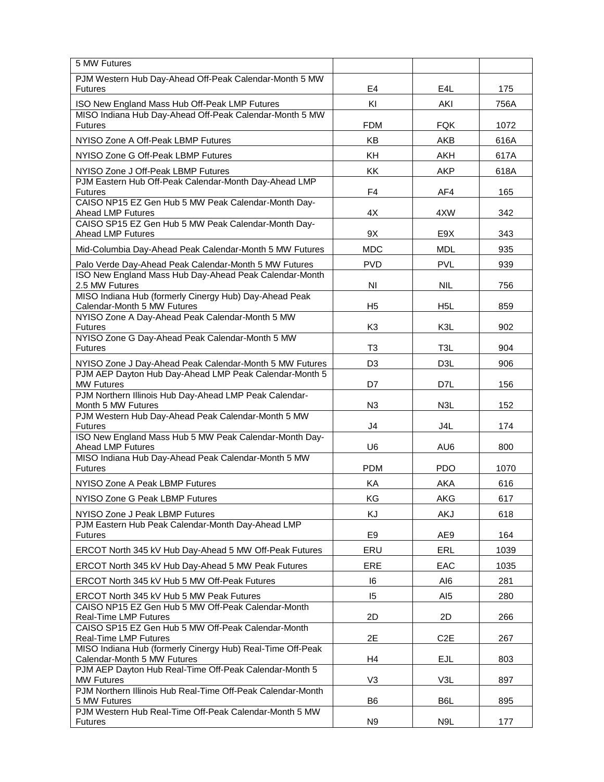| 5 MW Futures                                                                              |                |                  |      |
|-------------------------------------------------------------------------------------------|----------------|------------------|------|
| PJM Western Hub Day-Ahead Off-Peak Calendar-Month 5 MW<br><b>Futures</b>                  | E4             | E4L              | 175  |
| ISO New England Mass Hub Off-Peak LMP Futures                                             | KI             | AKI              | 756A |
| MISO Indiana Hub Day-Ahead Off-Peak Calendar-Month 5 MW<br><b>Futures</b>                 | <b>FDM</b>     | FQK              | 1072 |
| NYISO Zone A Off-Peak LBMP Futures                                                        | KB             | AKB              | 616A |
| NYISO Zone G Off-Peak LBMP Futures                                                        | KH             | AKH              | 617A |
| NYISO Zone J Off-Peak LBMP Futures                                                        | KK             | AKP              | 618A |
| PJM Eastern Hub Off-Peak Calendar-Month Day-Ahead LMP<br><b>Futures</b>                   | F <sub>4</sub> | AF4              | 165  |
| CAISO NP15 EZ Gen Hub 5 MW Peak Calendar-Month Day-<br>Ahead LMP Futures                  | 4X             | 4XW              | 342  |
| CAISO SP15 EZ Gen Hub 5 MW Peak Calendar-Month Day-<br>Ahead LMP Futures                  | 9X             | E9X              | 343  |
| Mid-Columbia Day-Ahead Peak Calendar-Month 5 MW Futures                                   | <b>MDC</b>     | <b>MDL</b>       | 935  |
| Palo Verde Day-Ahead Peak Calendar-Month 5 MW Futures                                     | <b>PVD</b>     | <b>PVL</b>       | 939  |
| ISO New England Mass Hub Day-Ahead Peak Calendar-Month<br>2.5 MW Futures                  | NI             | NIL.             | 756  |
| MISO Indiana Hub (formerly Cinergy Hub) Day-Ahead Peak                                    |                |                  |      |
| Calendar-Month 5 MW Futures<br>NYISO Zone A Day-Ahead Peak Calendar-Month 5 MW            | H <sub>5</sub> | H <sub>5</sub> L | 859  |
| <b>Futures</b>                                                                            | K <sub>3</sub> | K3L              | 902  |
| NYISO Zone G Day-Ahead Peak Calendar-Month 5 MW<br><b>Futures</b>                         | T <sub>3</sub> | T <sub>3</sub> L | 904  |
| NYISO Zone J Day-Ahead Peak Calendar-Month 5 MW Futures                                   | D <sub>3</sub> | D3L              | 906  |
| PJM AEP Dayton Hub Day-Ahead LMP Peak Calendar-Month 5<br><b>MW Futures</b>               | D7             | D7L              | 156  |
| PJM Northern Illinois Hub Day-Ahead LMP Peak Calendar-<br>Month 5 MW Futures              | N <sub>3</sub> | N3L              | 152  |
| PJM Western Hub Day-Ahead Peak Calendar-Month 5 MW<br><b>Futures</b>                      | J <sub>4</sub> | J4L              | 174  |
| ISO New England Mass Hub 5 MW Peak Calendar-Month Day-<br>Ahead LMP Futures               | U <sub>6</sub> | AU6              | 800  |
| MISO Indiana Hub Day-Ahead Peak Calendar-Month 5 MW<br><b>Futures</b>                     | <b>PDM</b>     | <b>PDO</b>       | 1070 |
| NYISO Zone A Peak LBMP Futures                                                            | KA             | AKA              | 616  |
| NYISO Zone G Peak LBMP Futures                                                            | KG             | AKG              | 617  |
| NYISO Zone J Peak LBMP Futures                                                            | KJ             | AKJ              | 618  |
| PJM Eastern Hub Peak Calendar-Month Day-Ahead LMP<br><b>Futures</b>                       | E <sub>9</sub> | AE9              | 164  |
| ERCOT North 345 kV Hub Day-Ahead 5 MW Off-Peak Futures                                    | ERU            | <b>ERL</b>       | 1039 |
| ERCOT North 345 kV Hub Day-Ahead 5 MW Peak Futures                                        | ERE            | EAC              | 1035 |
| ERCOT North 345 kV Hub 5 MW Off-Peak Futures                                              | 16             | AI6              | 281  |
| ERCOT North 345 kV Hub 5 MW Peak Futures                                                  | 15             | AI5              | 280  |
| CAISO NP15 EZ Gen Hub 5 MW Off-Peak Calendar-Month<br>Real-Time LMP Futures               | 2D             | 2D               | 266  |
| CAISO SP15 EZ Gen Hub 5 MW Off-Peak Calendar-Month<br>Real-Time LMP Futures               | 2E             | C <sub>2</sub> E | 267  |
| MISO Indiana Hub (formerly Cinergy Hub) Real-Time Off-Peak<br>Calendar-Month 5 MW Futures | H <sub>4</sub> | <b>EJL</b>       | 803  |
| PJM AEP Dayton Hub Real-Time Off-Peak Calendar-Month 5                                    |                |                  |      |
| <b>MW Futures</b><br>PJM Northern Illinois Hub Real-Time Off-Peak Calendar-Month          | V <sub>3</sub> | V3L              | 897  |
| 5 MW Futures<br>PJM Western Hub Real-Time Off-Peak Calendar-Month 5 MW                    | B <sub>6</sub> | B6L              | 895  |
| <b>Futures</b>                                                                            | N <sub>9</sub> | N9L              | 177  |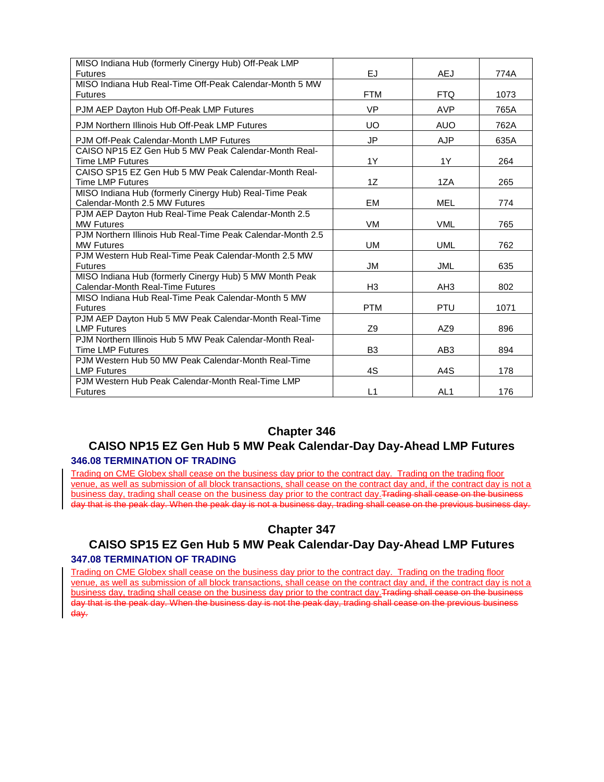| MISO Indiana Hub (formerly Cinergy Hub) Off-Peak LMP<br><b>Futures</b>                      | EJ.            | AEJ             | 774A |
|---------------------------------------------------------------------------------------------|----------------|-----------------|------|
| MISO Indiana Hub Real-Time Off-Peak Calendar-Month 5 MW<br><b>Futures</b>                   | <b>FTM</b>     | <b>FTQ</b>      | 1073 |
| PJM AEP Dayton Hub Off-Peak LMP Futures                                                     | <b>VP</b>      | <b>AVP</b>      | 765A |
| PJM Northern Illinois Hub Off-Peak LMP Futures                                              | UO.            | <b>AUO</b>      | 762A |
| PJM Off-Peak Calendar-Month LMP Futures                                                     | <b>JP</b>      | <b>AJP</b>      | 635A |
| CAISO NP15 EZ Gen Hub 5 MW Peak Calendar-Month Real-<br><b>Time LMP Futures</b>             | 1Y             | 1Y              | 264  |
| CAISO SP15 EZ Gen Hub 5 MW Peak Calendar-Month Real-<br><b>Time LMP Futures</b>             | 1Z             | 1ZA             | 265  |
| MISO Indiana Hub (formerly Cinergy Hub) Real-Time Peak<br>Calendar-Month 2.5 MW Futures     | EM             | MEL             | 774  |
| PJM AEP Dayton Hub Real-Time Peak Calendar-Month 2.5<br><b>MW Futures</b>                   | <b>VM</b>      | <b>VML</b>      | 765  |
| PJM Northern Illinois Hub Real-Time Peak Calendar-Month 2.5<br><b>MW Futures</b>            | UM             | <b>UML</b>      | 762  |
| PJM Western Hub Real-Time Peak Calendar-Month 2.5 MW<br><b>Futures</b>                      | JM             | <b>JML</b>      | 635  |
| MISO Indiana Hub (formerly Cinergy Hub) 5 MW Month Peak<br>Calendar-Month Real-Time Futures | H <sub>3</sub> | AH <sub>3</sub> | 802  |
| MISO Indiana Hub Real-Time Peak Calendar-Month 5 MW<br><b>Futures</b>                       | <b>PTM</b>     | <b>PTU</b>      | 1071 |
| PJM AEP Dayton Hub 5 MW Peak Calendar-Month Real-Time<br><b>LMP Futures</b>                 | Z <sub>9</sub> | AZ9             | 896  |
| P.JM Northern Illinois Hub 5 MW Peak Calendar-Month Real-<br><b>Time LMP Futures</b>        | B <sub>3</sub> | AB <sub>3</sub> | 894  |
| PJM Western Hub 50 MW Peak Calendar-Month Real-Time<br><b>LMP Futures</b>                   | 4S             | A4S             | 178  |
| PJM Western Hub Peak Calendar-Month Real-Time LMP<br><b>Futures</b>                         | L1             | AL <sub>1</sub> | 176  |

#### **CAISO NP15 EZ Gen Hub 5 MW Peak Calendar-Day Day-Ahead LMP Futures 346.08 TERMINATION OF TRADING**

Trading on CME Globex shall cease on the business day prior to the contract day. Trading on the trading floor venue, as well as submission of all block transactions, shall cease on the contract day and, if the contract day is not a business day, trading shall cease on the business day prior to the contract day. Trading shall cease on the business day that is the peak day. When the peak day is not a business day, trading shall cease on the previous business day.

# **Chapter 347**

# **CAISO SP15 EZ Gen Hub 5 MW Peak Calendar-Day Day-Ahead LMP Futures 347.08 TERMINATION OF TRADING**

Trading on CME Globex shall cease on the business day prior to the contract day. Trading on the trading floor venue, as well as submission of all block transactions, shall cease on the contract day and, if the contract day is not a business day, trading shall cease on the business day prior to the contract day.Trading shall cease on the business day that is the peak day. When the business day is not the peak day, trading shall cease on the previous business day.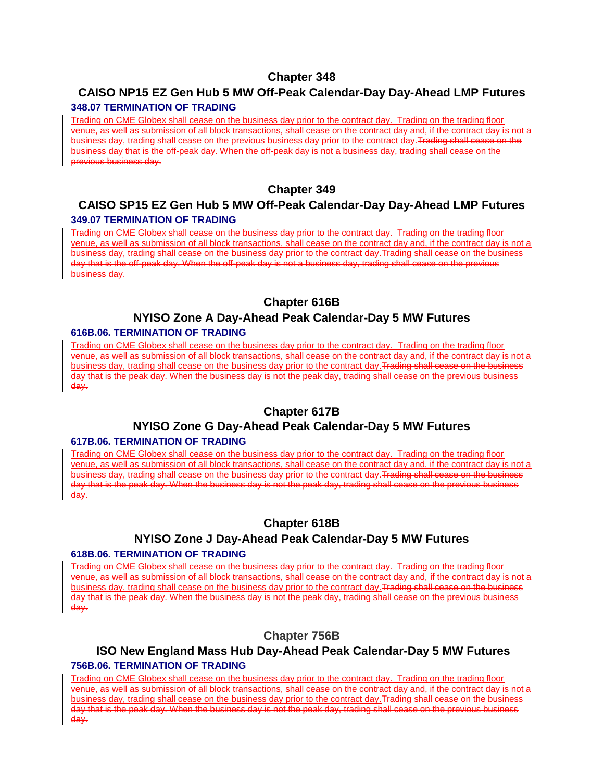# **CAISO NP15 EZ Gen Hub 5 MW Off-Peak Calendar-Day Day-Ahead LMP Futures**

#### **348.07 TERMINATION OF TRADING**

Trading on CME Globex shall cease on the business day prior to the contract day. Trading on the trading floor venue, as well as submission of all block transactions, shall cease on the contract day and, if the contract day is not a business day, trading shall cease on the previous business day prior to the contract day.Trading shall cease on the business day that is the off-peak day. When the off-peak day is not a business day, trading shall cease on the previous business day.

#### **Chapter 349**

#### **CAISO SP15 EZ Gen Hub 5 MW Off-Peak Calendar-Day Day-Ahead LMP Futures 349.07 TERMINATION OF TRADING**

Trading on CME Globex shall cease on the business day prior to the contract day. Trading on the trading floor venue, as well as submission of all block transactions, shall cease on the contract day and, if the contract day is not a business day, trading shall cease on the business day prior to the contract day.Trading shall cease on the business day that is the off-peak day. When the off-peak day is not a business day, trading shall cease on the previous business day.

# **Chapter 616B**

# **NYISO Zone A Day-Ahead Peak Calendar-Day 5 MW Futures**

#### **616B.06. TERMINATION OF TRADING**

Trading on CME Globex shall cease on the business day prior to the contract day. Trading on the trading floor venue, as well as submission of all block transactions, shall cease on the contract day and, if the contract day is not a business day, trading shall cease on the business day prior to the contract day.Trading shall cease on the business day that is the peak day. When the business day is not the peak day, trading shall cease on the previous business day.

#### **Chapter 617B**

# **NYISO Zone G Day-Ahead Peak Calendar-Day 5 MW Futures**

#### **617B.06. TERMINATION OF TRADING**

Trading on CME Globex shall cease on the business day prior to the contract day. Trading on the trading floor venue, as well as submission of all block transactions, shall cease on the contract day and, if the contract day is not a business day, trading shall cease on the business day prior to the contract day.Trading shall cease on the business day that is the peak day. When the business day is not the peak day, trading shall cease on the previous business day.

# **Chapter 618B**

# **NYISO Zone J Day-Ahead Peak Calendar-Day 5 MW Futures**

#### **618B.06. TERMINATION OF TRADING**

Trading on CME Globex shall cease on the business day prior to the contract day. Trading on the trading floor venue, as well as submission of all block transactions, shall cease on the contract day and, if the contract day is not a business day, trading shall cease on the business day prior to the contract day.Trading shall cease on the business day that is the peak day. When the business day is not the peak day, trading shall cease on the previous business day.

# **Chapter 756B**

#### **ISO New England Mass Hub Day-Ahead Peak Calendar-Day 5 MW Futures 756B.06. TERMINATION OF TRADING**

Trading on CME Globex shall cease on the business day prior to the contract day. Trading on the trading floor venue, as well as submission of all block transactions, shall cease on the contract day and, if the contract day is not a business day, trading shall cease on the business day prior to the contract day. Trading shall cease on the business day that is the peak day. When the business day is not the peak day, trading shall cease on the previous business day.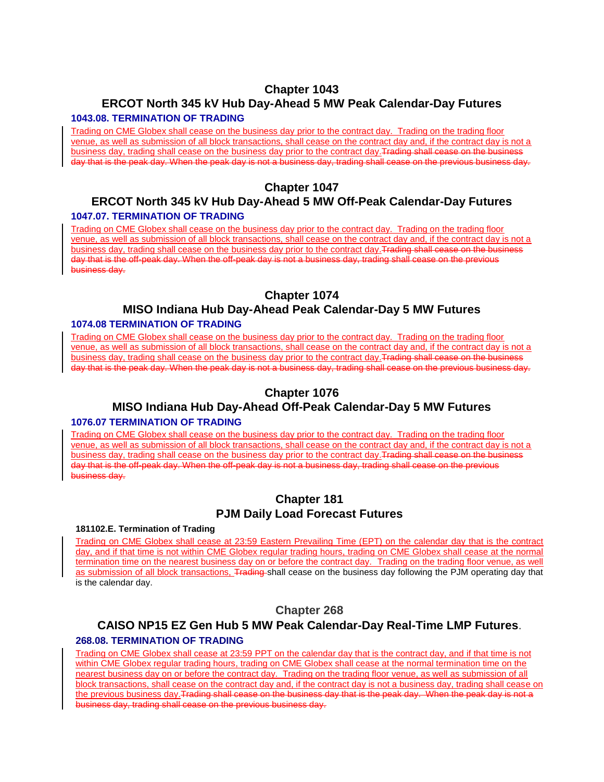# **ERCOT North 345 kV Hub Day-Ahead 5 MW Peak Calendar-Day Futures**

#### **1043.08. TERMINATION OF TRADING**

Trading on CME Globex shall cease on the business day prior to the contract day. Trading on the trading floor venue, as well as submission of all block transactions, shall cease on the contract day and, if the contract day is not a business day, trading shall cease on the business day prior to the contract day.Trading shall cease on the business day that is the peak day. When the peak day is not a business day, trading shall cease on the previous business day.

# **Chapter 1047**

#### **ERCOT North 345 kV Hub Day-Ahead 5 MW Off-Peak Calendar-Day Futures 1047.07. TERMINATION OF TRADING**

Trading on CME Globex shall cease on the business day prior to the contract day. Trading on the trading floor venue, as well as submission of all block transactions, shall cease on the contract day and, if the contract day is not a business day, trading shall cease on the business day prior to the contract day. Trading shall cease on the business day that is the off-peak day. When the off-peak day is not a business day, trading shall cease on the previous business day.

# **Chapter 1074**

#### **MISO Indiana Hub Day-Ahead Peak Calendar-Day 5 MW Futures 1074.08 TERMINATION OF TRADING**

Trading on CME Globex shall cease on the business day prior to the contract day. Trading on the trading floor venue, as well as submission of all block transactions, shall cease on the contract day and, if the contract day is not a business day, trading shall cease on the business day prior to the contract day. Trading shall cease on the business day that is the peak day. When the peak day is not a business day, trading shall cease on the previous business day.

#### **Chapter 1076**

#### **MISO Indiana Hub Day-Ahead Off-Peak Calendar-Day 5 MW Futures 1076.07 TERMINATION OF TRADING**

Trading on CME Globex shall cease on the business day prior to the contract day. Trading on the trading floor venue, as well as submission of all block transactions, shall cease on the contract day and, if the contract day is not a business day, trading shall cease on the business day prior to the contract day. Trading shall cease on the business day that is the off-peak day. When the off-peak day is not a business day, trading shall cease on the previous business day.

# **Chapter 181 PJM Daily Load Forecast Futures**

#### **181102.E. Termination of Trading**

Trading on CME Globex shall cease at 23:59 Eastern Prevailing Time (EPT) on the calendar day that is the contract day, and if that time is not within CME Globex regular trading hours, trading on CME Globex shall cease at the normal termination time on the nearest business day on or before the contract day. Trading on the trading floor venue, as well as submission of all block transactions, Trading shall cease on the business day following the PJM operating day that is the calendar day.

#### **Chapter 268**

# **CAISO NP15 EZ Gen Hub 5 MW Peak Calendar-Day Real-Time LMP Futures**.

#### **268.08. TERMINATION OF TRADING**

Trading on CME Globex shall cease at 23:59 PPT on the calendar day that is the contract day, and if that time is not within CME Globex regular trading hours, trading on CME Globex shall cease at the normal termination time on the nearest business day on or before the contract day. Trading on the trading floor venue, as well as submission of all block transactions, shall cease on the contract day and, if the contract day is not a business day, trading shall cease on the previous business day. Trading shall cease on the business day that is the peak day. When the peak day is not a business day, trading shall cease on the previous business day.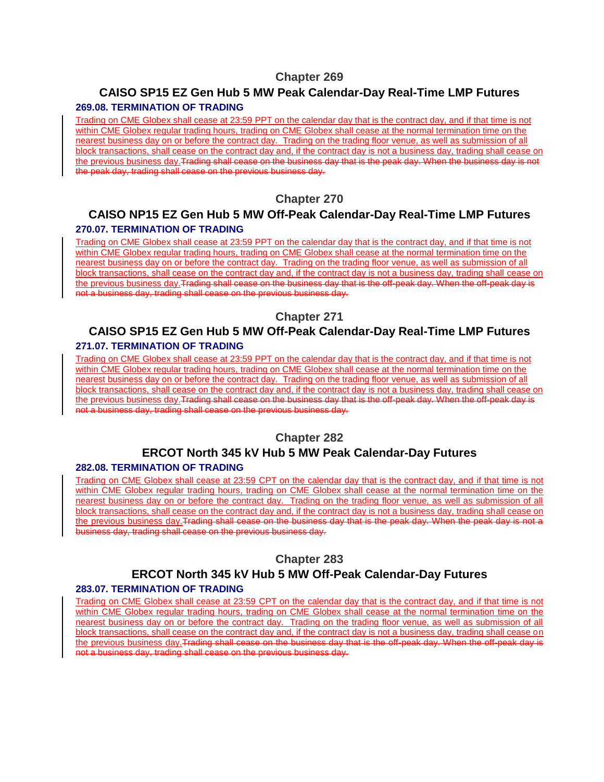# **CAISO SP15 EZ Gen Hub 5 MW Peak Calendar-Day Real-Time LMP Futures**

#### **269.08. TERMINATION OF TRADING**

Trading on CME Globex shall cease at 23:59 PPT on the calendar day that is the contract day, and if that time is not within CME Globex regular trading hours, trading on CME Globex shall cease at the normal termination time on the nearest business day on or before the contract day. Trading on the trading floor venue, as well as submission of all block transactions, shall cease on the contract day and, if the contract day is not a business day, trading shall cease on the previous business day. Trading shall cease on the business day that is the peak day. When the business day is not the peak day, trading shall cease on the previous business day.

# **Chapter 270**

# **CAISO NP15 EZ Gen Hub 5 MW Off-Peak Calendar-Day Real-Time LMP Futures 270.07. TERMINATION OF TRADING**

Trading on CME Globex shall cease at 23:59 PPT on the calendar day that is the contract day, and if that time is not within CME Globex regular trading hours, trading on CME Globex shall cease at the normal termination time on the nearest business day on or before the contract day. Trading on the trading floor venue, as well as submission of all block transactions, shall cease on the contract day and, if the contract day is not a business day, trading shall cease on the previous business day.Trading shall cease on the business day that is the off-peak day. When the off-peak day is not a business day, trading shall cease on the previous business day.

#### **Chapter 271**

# **CAISO SP15 EZ Gen Hub 5 MW Off-Peak Calendar-Day Real-Time LMP Futures 271.07. TERMINATION OF TRADING**

Trading on CME Globex shall cease at 23:59 PPT on the calendar day that is the contract day, and if that time is not within CME Globex regular trading hours, trading on CME Globex shall cease at the normal termination time on the nearest business day on or before the contract day. Trading on the trading floor venue, as well as submission of all block transactions, shall cease on the contract day and, if the contract day is not a business day, trading shall cease on the previous business day. Trading shall cease on the business day that is the off-peak day. When the off-peak day is not a business day, trading shall cease on the previous business day.

#### **Chapter 282**

# **ERCOT North 345 kV Hub 5 MW Peak Calendar-Day Futures**

#### **282.08. TERMINATION OF TRADING**

Trading on CME Globex shall cease at 23:59 CPT on the calendar day that is the contract day, and if that time is not within CME Globex regular trading hours, trading on CME Globex shall cease at the normal termination time on the nearest business day on or before the contract day. Trading on the trading floor venue, as well as submission of all block transactions, shall cease on the contract day and, if the contract day is not a business day, trading shall cease on the previous business day. Trading shall cease on the business day that is the peak day. When the peak day is not a business day, trading shall cease on the previous business day.

#### **Chapter 283**

# **ERCOT North 345 kV Hub 5 MW Off-Peak Calendar-Day Futures**

#### **283.07. TERMINATION OF TRADING**

Trading on CME Globex shall cease at 23:59 CPT on the calendar day that is the contract day, and if that time is not within CME Globex regular trading hours, trading on CME Globex shall cease at the normal termination time on the nearest business day on or before the contract day. Trading on the trading floor venue, as well as submission of all block transactions, shall cease on the contract day and, if the contract day is not a business day, trading shall cease on the previous business day. Trading shall cease on the business day that is the off-peak day. When the off-peak day is not a business day, trading shall cease on the previous business day.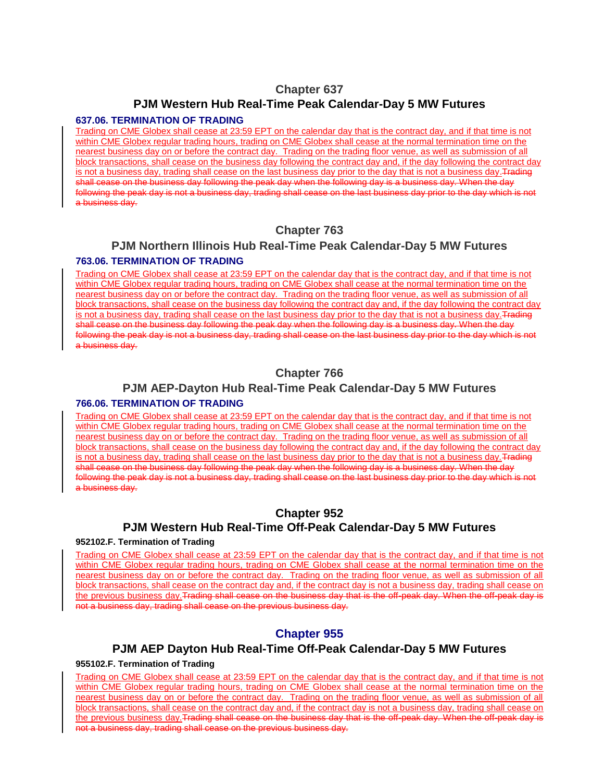#### **PJM Western Hub Real-Time Peak Calendar-Day 5 MW Futures**

#### **637.06. TERMINATION OF TRADING**

Trading on CME Globex shall cease at 23:59 EPT on the calendar day that is the contract day, and if that time is not within CME Globex regular trading hours, trading on CME Globex shall cease at the normal termination time on the nearest business day on or before the contract day. Trading on the trading floor venue, as well as submission of all block transactions, shall cease on the business day following the contract day and, if the day following the contract day is not a business day, trading shall cease on the last business day prior to the day that is not a business day. Trading shall cease on the business day following the peak day when the following day is a business day. When the day following the peak day is not a business day, trading shall cease on the last business day prior to the day which is not a business day.

# **Chapter 763**

#### **PJM Northern Illinois Hub Real-Time Peak Calendar-Day 5 MW Futures 763.06. TERMINATION OF TRADING**

Trading on CME Globex shall cease at 23:59 EPT on the calendar day that is the contract day, and if that time is not within CME Globex regular trading hours, trading on CME Globex shall cease at the normal termination time on the nearest business day on or before the contract day. Trading on the trading floor venue, as well as submission of all block transactions, shall cease on the business day following the contract day and, if the day following the contract day is not a business day, trading shall cease on the last business day prior to the day that is not a business day. Trading shall cease on the business day following the peak day when the following day is a business day. When the day following the peak day is not a business day, trading shall cease on the last business day prior to the day which is not a business day.

# **Chapter 766**

#### **PJM AEP-Dayton Hub Real-Time Peak Calendar-Day 5 MW Futures**

#### **766.06. TERMINATION OF TRADING**

Trading on CME Globex shall cease at 23:59 EPT on the calendar day that is the contract day, and if that time is not within CME Globex regular trading hours, trading on CME Globex shall cease at the normal termination time on the nearest business day on or before the contract day. Trading on the trading floor venue, as well as submission of all block transactions, shall cease on the business day following the contract day and, if the day following the contract day is not a business day, trading shall cease on the last business day prior to the day that is not a business day. Trading shall cease on the business day following the peak day when the following day is a business day. When the day following the peak day is not a business day, trading shall cease on the last business day prior to the day which is not a business day.

#### **Chapter 952**

#### **PJM Western Hub Real-Time Off-Peak Calendar-Day 5 MW Futures**

#### **952102.F. Termination of Trading**

Trading on CME Globex shall cease at 23:59 EPT on the calendar day that is the contract day, and if that time is not within CME Globex regular trading hours, trading on CME Globex shall cease at the normal termination time on the nearest business day on or before the contract day. Trading on the trading floor venue, as well as submission of all block transactions, shall cease on the contract day and, if the contract day is not a business day, trading shall cease on the previous business day.Trading shall cease on the business day that is the off-peak day. When the off-peak day is not a business day, trading shall cease on the previous business day.

#### **Chapter 955**

#### **PJM AEP Dayton Hub Real-Time Off-Peak Calendar-Day 5 MW Futures**

#### **955102.F. Termination of Trading**

Trading on CME Globex shall cease at 23:59 EPT on the calendar day that is the contract day, and if that time is not within CME Globex regular trading hours, trading on CME Globex shall cease at the normal termination time on the nearest business day on or before the contract day. Trading on the trading floor venue, as well as submission of all block transactions, shall cease on the contract day and, if the contract day is not a business day, trading shall cease on the previous business day. Trading shall cease on the business day that is the off-peak day. When the off-peak day is not a business day, trading shall cease on the previous business day.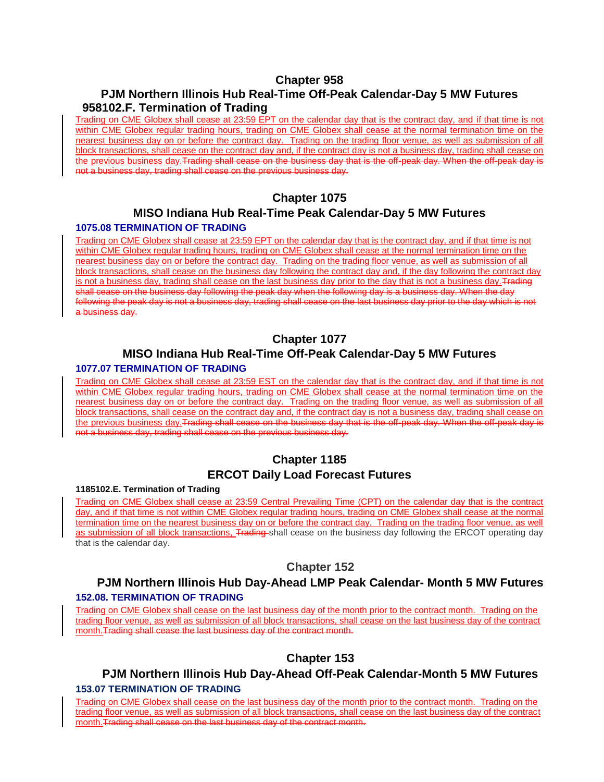# **PJM Northern Illinois Hub Real-Time Off-Peak Calendar-Day 5 MW Futures 958102.F. Termination of Trading**

Trading on CME Globex shall cease at 23:59 EPT on the calendar day that is the contract day, and if that time is not within CME Globex regular trading hours, trading on CME Globex shall cease at the normal termination time on the nearest business day on or before the contract day. Trading on the trading floor venue, as well as submission of all block transactions, shall cease on the contract day and, if the contract day is not a business day, trading shall cease on the previous business day. Trading shall cease on the business day that is the off-peak day. When the off-peak day is not a business day, trading shall cease on the previous business day.

#### **Chapter 1075**

# **MISO Indiana Hub Real-Time Peak Calendar-Day 5 MW Futures**

#### **1075.08 TERMINATION OF TRADING**

Trading on CME Globex shall cease at 23:59 EPT on the calendar day that is the contract day, and if that time is not within CME Globex regular trading hours, trading on CME Globex shall cease at the normal termination time on the nearest business day on or before the contract day. Trading on the trading floor venue, as well as submission of all block transactions, shall cease on the business day following the contract day and, if the day following the contract day is not a business day, trading shall cease on the last business day prior to the day that is not a business day. Trading shall cease on the business day following the peak day when the following day is a business day. When the day following the peak day is not a business day, trading shall cease on the last business day prior to the day which is not a business day.

#### **Chapter 1077**

#### **MISO Indiana Hub Real-Time Off-Peak Calendar-Day 5 MW Futures 1077.07 TERMINATION OF TRADING**

#### Trading on CME Globex shall cease at 23:59 EST on the calendar day that is the contract day, and if that time is not within CME Globex regular trading hours, trading on CME Globex shall cease at the normal termination time on the nearest business day on or before the contract day. Trading on the trading floor venue, as well as submission of all block transactions, shall cease on the contract day and, if the contract day is not a business day, trading shall cease on the previous business day. Trading shall cease on the business day that is the off-peak day. When the off-peak day is not a business day, trading shall cease on the previous business day.

# **Chapter 1185 ERCOT Daily Load Forecast Futures**

#### **1185102.E. Termination of Trading**

Trading on CME Globex shall cease at 23:59 Central Prevailing Time (CPT) on the calendar day that is the contract day, and if that time is not within CME Globex regular trading hours, trading on CME Globex shall cease at the normal termination time on the nearest business day on or before the contract day. Trading on the trading floor venue, as well as submission of all block transactions, Trading shall cease on the business day following the ERCOT operating day that is the calendar day.

#### **Chapter 152**

#### **PJM Northern Illinois Hub Day-Ahead LMP Peak Calendar- Month 5 MW Futures 152.08. TERMINATION OF TRADING**

Trading on CME Globex shall cease on the last business day of the month prior to the contract month. Trading on the trading floor venue, as well as submission of all block transactions, shall cease on the last business day of the contract month.Trading shall cease the last business day of the contract month.

#### **Chapter 153**

#### **PJM Northern Illinois Hub Day-Ahead Off-Peak Calendar-Month 5 MW Futures 153.07 TERMINATION OF TRADING**

Trading on CME Globex shall cease on the last business day of the month prior to the contract month. Trading on the trading floor venue, as well as submission of all block transactions, shall cease on the last business day of the contract month. Trading shall cease on the last business day of the contract month.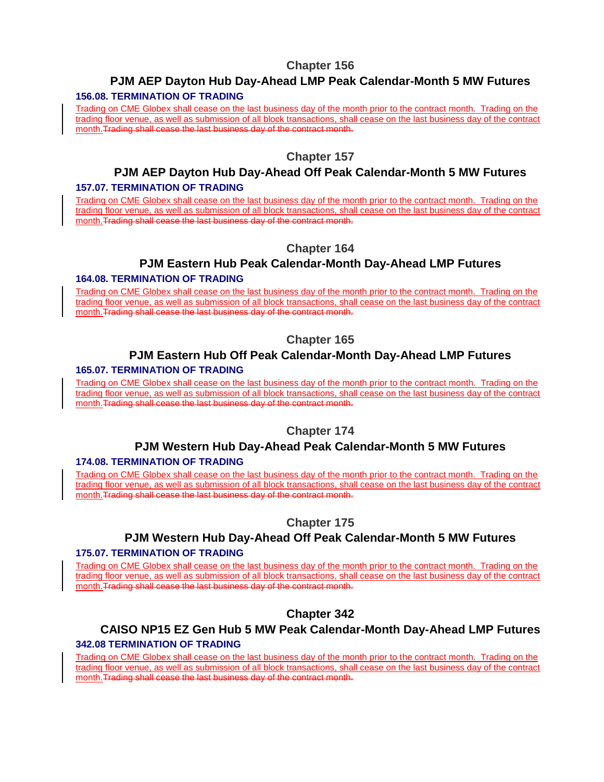# **PJM AEP Dayton Hub Day-Ahead LMP Peak Calendar-Month 5 MW Futures**

#### **156.08. TERMINATION OF TRADING**

Trading on CME Globex shall cease on the last business day of the month prior to the contract month. Trading on the trading floor venue, as well as submission of all block transactions, shall cease on the last business day of the contract month.Trading shall cease the last business day of the contract month.

#### **Chapter 157**

# **PJM AEP Dayton Hub Day-Ahead Off Peak Calendar-Month 5 MW Futures**

#### **157.07. TERMINATION OF TRADING**

Trading on CME Globex shall cease on the last business day of the month prior to the contract month. Trading on the trading floor venue, as well as submission of all block transactions, shall cease on the last business day of the contract month.Trading shall cease the last business day of the contract month.

#### **Chapter 164**

# **PJM Eastern Hub Peak Calendar-Month Day-Ahead LMP Futures**

#### **164.08. TERMINATION OF TRADING**

Trading on CME Globex shall cease on the last business day of the month prior to the contract month. Trading on the trading floor venue, as well as submission of all block transactions, shall cease on the last business day of the contract month.Trading shall cease the last business day of the contract month.

# **Chapter 165**

# **PJM Eastern Hub Off Peak Calendar-Month Day-Ahead LMP Futures**

#### **165.07. TERMINATION OF TRADING**

Trading on CME Globex shall cease on the last business day of the month prior to the contract month. Trading on the trading floor venue, as well as submission of all block transactions, shall cease on the last business day of the contract month.Trading shall cease the last business day of the contract month.

#### **Chapter 174**

#### **PJM Western Hub Day-Ahead Peak Calendar-Month 5 MW Futures 174.08. TERMINATION OF TRADING**

#### Trading on CME Globex shall cease on the last business day of the month prior to the contract month. Trading on the trading floor venue, as well as submission of all block transactions, shall cease on the last business day of the contract month.Trading shall cease the last business day of the contract month.

#### **Chapter 175**

#### **PJM Western Hub Day-Ahead Off Peak Calendar-Month 5 MW Futures**

#### **175.07. TERMINATION OF TRADING**

Trading on CME Globex shall cease on the last business day of the month prior to the contract month. Trading on the trading floor venue, as well as submission of all block transactions, shall cease on the last business day of the contract month.Trading shall cease the last business day of the contract month.

#### **Chapter 342**

#### **CAISO NP15 EZ Gen Hub 5 MW Peak Calendar-Month Day-Ahead LMP Futures 342.08 TERMINATION OF TRADING**

Trading on CME Globex shall cease on the last business day of the month prior to the contract month. Trading on the trading floor venue, as well as submission of all block transactions, shall cease on the last business day of the contract month.Trading shall cease the last business day of the contract month.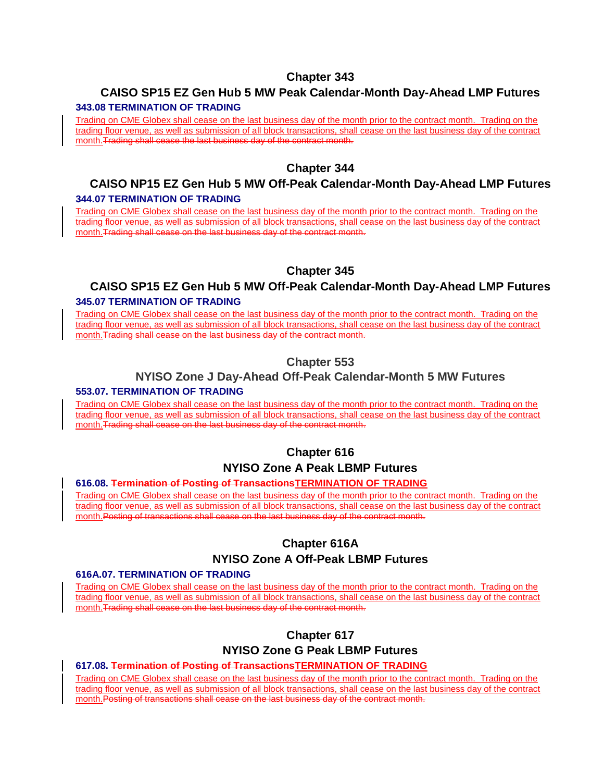# **CAISO SP15 EZ Gen Hub 5 MW Peak Calendar-Month Day-Ahead LMP Futures**

#### **343.08 TERMINATION OF TRADING**

Trading on CME Globex shall cease on the last business day of the month prior to the contract month. Trading on the trading floor venue, as well as submission of all block transactions, shall cease on the last business day of the contract month.Trading shall cease the last business day of the contract month.

# **Chapter 344**

#### **CAISO NP15 EZ Gen Hub 5 MW Off-Peak Calendar-Month Day-Ahead LMP Futures 344.07 TERMINATION OF TRADING**

Trading on CME Globex shall cease on the last business day of the month prior to the contract month. Trading on the trading floor venue, as well as submission of all block transactions, shall cease on the last business day of the contract month.Trading shall cease on the last business day of the contract month.

# **Chapter 345**

#### **CAISO SP15 EZ Gen Hub 5 MW Off-Peak Calendar-Month Day-Ahead LMP Futures 345.07 TERMINATION OF TRADING**

Trading on CME Globex shall cease on the last business day of the month prior to the contract month. Trading on the trading floor venue, as well as submission of all block transactions, shall cease on the last business day of the contract month. Trading shall cease on the last business day of the contract month.

# **Chapter 553**

#### **NYISO Zone J Day-Ahead Off-Peak Calendar-Month 5 MW Futures**

#### **553.07. TERMINATION OF TRADING**

Trading on CME Globex shall cease on the last business day of the month prior to the contract month. Trading on the trading floor venue, as well as submission of all block transactions, shall cease on the last business day of the contract month.Trading shall cease on the last business day of the contract month.

# **Chapter 616 NYISO Zone A Peak LBMP Futures**

#### **616.08. Termination of Posting of TransactionsTERMINATION OF TRADING**

Trading on CME Globex shall cease on the last business day of the month prior to the contract month. Trading on the trading floor venue, as well as submission of all block transactions, shall cease on the last business day of the contract month.Posting of transactions shall cease on the last business day of the contract month.

# **Chapter 616A**

#### **NYISO Zone A Off-Peak LBMP Futures**

#### **616A.07. TERMINATION OF TRADING**

Trading on CME Globex shall cease on the last business day of the month prior to the contract month. Trading on the trading floor venue, as well as submission of all block transactions, shall cease on the last business day of the contract month.Trading shall cease on the last business day of the contract month.

# **Chapter 617**

# **NYISO Zone G Peak LBMP Futures**

#### **617.08. Termination of Posting of TransactionsTERMINATION OF TRADING**

Trading on CME Globex shall cease on the last business day of the month prior to the contract month. Trading on the trading floor venue, as well as submission of all block transactions, shall cease on the last business day of the contract month.Posting of transactions shall cease on the last business day of the contract month.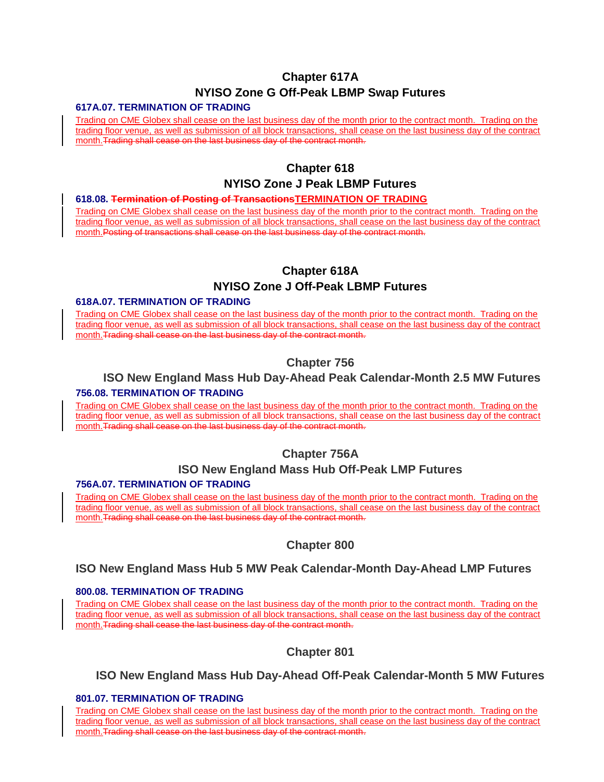# **Chapter 617A NYISO Zone G Off-Peak LBMP Swap Futures**

#### **617A.07. TERMINATION OF TRADING**

Trading on CME Globex shall cease on the last business day of the month prior to the contract month. Trading on the trading floor venue, as well as submission of all block transactions, shall cease on the last business day of the contract month.Trading shall cease on the last business day of the contract month.

# **Chapter 618**

#### **NYISO Zone J Peak LBMP Futures**

#### **618.08. Termination of Posting of TransactionsTERMINATION OF TRADING**

Trading on CME Globex shall cease on the last business day of the month prior to the contract month. Trading on the trading floor venue, as well as submission of all block transactions, shall cease on the last business day of the contract month.Posting of transactions shall cease on the last business day of the contract month.

# **Chapter 618A**

#### **NYISO Zone J Off-Peak LBMP Futures**

#### **618A.07. TERMINATION OF TRADING**

Trading on CME Globex shall cease on the last business day of the month prior to the contract month. Trading on the trading floor venue, as well as submission of all block transactions, shall cease on the last business day of the contract month. Trading shall cease on the last business day of the contract month.

# **Chapter 756**

#### **ISO New England Mass Hub Day-Ahead Peak Calendar-Month 2.5 MW Futures 756.08. TERMINATION OF TRADING**

Trading on CME Globex shall cease on the last business day of the month prior to the contract month. Trading on the trading floor venue, as well as submission of all block transactions, shall cease on the last business day of the contract month.Trading shall cease on the last business day of the contract month.

#### **Chapter 756A**

#### **ISO New England Mass Hub Off-Peak LMP Futures**

#### **756A.07. TERMINATION OF TRADING**

Trading on CME Globex shall cease on the last business day of the month prior to the contract month. Trading on the trading floor venue, as well as submission of all block transactions, shall cease on the last business day of the contract month.Trading shall cease on the last business day of the contract month.

#### **Chapter 800**

#### **ISO New England Mass Hub 5 MW Peak Calendar-Month Day-Ahead LMP Futures**

#### **800.08. TERMINATION OF TRADING**

Trading on CME Globex shall cease on the last business day of the month prior to the contract month. Trading on the trading floor venue, as well as submission of all block transactions, shall cease on the last business day of the contract month. Trading shall cease the last business day of the contract month.

#### **Chapter 801**

#### **ISO New England Mass Hub Day-Ahead Off-Peak Calendar-Month 5 MW Futures**

#### **801.07. TERMINATION OF TRADING**

Trading on CME Globex shall cease on the last business day of the month prior to the contract month. Trading on the trading floor venue, as well as submission of all block transactions, shall cease on the last business day of the contract month.Trading shall cease on the last business day of the contract month.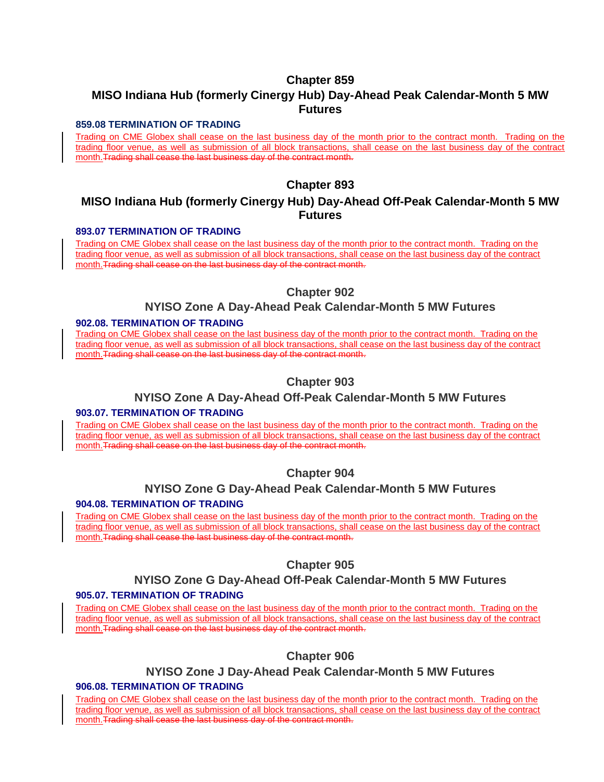# **MISO Indiana Hub (formerly Cinergy Hub) Day-Ahead Peak Calendar-Month 5 MW Futures**

#### **859.08 TERMINATION OF TRADING**

Trading on CME Globex shall cease on the last business day of the month prior to the contract month. Trading on the trading floor venue, as well as submission of all block transactions, shall cease on the last business day of the contract month. Trading shall cease the last business day of the contract month.

#### **Chapter 893**

# **MISO Indiana Hub (formerly Cinergy Hub) Day-Ahead Off-Peak Calendar-Month 5 MW Futures**

#### **893.07 TERMINATION OF TRADING**

Trading on CME Globex shall cease on the last business day of the month prior to the contract month. Trading on the trading floor venue, as well as submission of all block transactions, shall cease on the last business day of the contract month.Trading shall cease on the last business day of the contract month.

#### **Chapter 902**

#### **NYISO Zone A Day-Ahead Peak Calendar-Month 5 MW Futures**

#### **902.08. TERMINATION OF TRADING**

Trading on CME Globex shall cease on the last business day of the month prior to the contract month. Trading on the trading floor venue, as well as submission of all block transactions, shall cease on the last business day of the contract month.Trading shall cease on the last business day of the contract month.

#### **Chapter 903**

#### **NYISO Zone A Day-Ahead Off-Peak Calendar-Month 5 MW Futures**

#### **903.07. TERMINATION OF TRADING**

Trading on CME Globex shall cease on the last business day of the month prior to the contract month. Trading on the trading floor venue, as well as submission of all block transactions, shall cease on the last business day of the contract month.Trading shall cease on the last business day of the contract month.

#### **Chapter 904**

# **NYISO Zone G Day-Ahead Peak Calendar-Month 5 MW Futures**

#### **904.08. TERMINATION OF TRADING**

Trading on CME Globex shall cease on the last business day of the month prior to the contract month. Trading on the trading floor venue, as well as submission of all block transactions, shall cease on the last business day of the contract month. Trading shall cease the last business day of the contract month.

#### **Chapter 905**

#### **NYISO Zone G Day-Ahead Off-Peak Calendar-Month 5 MW Futures**

#### **905.07. TERMINATION OF TRADING**

Trading on CME Globex shall cease on the last business day of the month prior to the contract month. Trading on the trading floor venue, as well as submission of all block transactions, shall cease on the last business day of the contract month.Trading shall cease on the last business day of the contract month.

#### **Chapter 906**

#### **NYISO Zone J Day-Ahead Peak Calendar-Month 5 MW Futures**

#### **906.08. TERMINATION OF TRADING**

Trading on CME Globex shall cease on the last business day of the month prior to the contract month. Trading on the trading floor venue, as well as submission of all block transactions, shall cease on the last business day of the contract month.Trading shall cease the last business day of the contract month.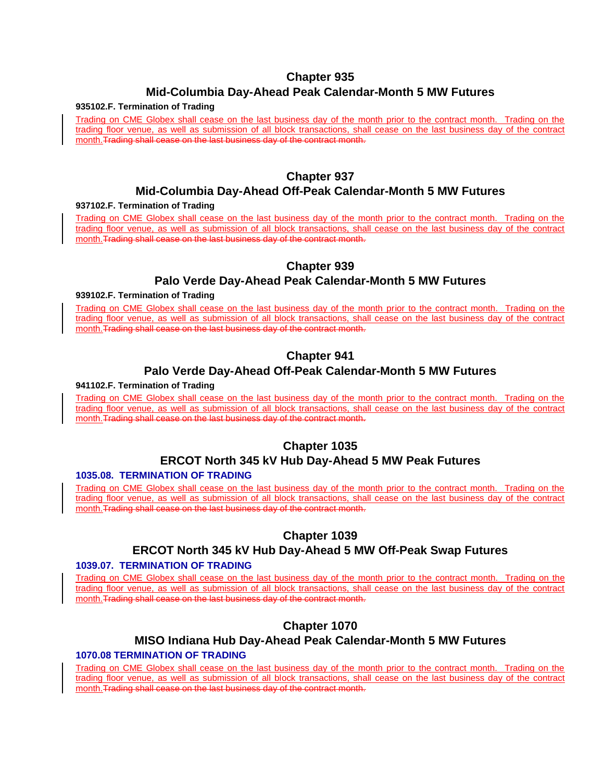# **Mid-Columbia Day-Ahead Peak Calendar-Month 5 MW Futures**

#### **935102.F. Termination of Trading**

Trading on CME Globex shall cease on the last business day of the month prior to the contract month. Trading on the trading floor venue, as well as submission of all block transactions, shall cease on the last business day of the contract month. Trading shall cease on the last business day of the contract month.

#### **Chapter 937**

#### **Mid-Columbia Day-Ahead Off-Peak Calendar-Month 5 MW Futures**

#### **937102.F. Termination of Trading**

Trading on CME Globex shall cease on the last business day of the month prior to the contract month. Trading on the trading floor venue, as well as submission of all block transactions, shall cease on the last business day of the contract month. Trading shall cease on the last business day of the contract month.

#### **Chapter 939**

#### **Palo Verde Day-Ahead Peak Calendar-Month 5 MW Futures**

#### **939102.F. Termination of Trading**

Trading on CME Globex shall cease on the last business day of the month prior to the contract month. Trading on the trading floor venue, as well as submission of all block transactions, shall cease on the last business day of the contract month.Trading shall cease on the last business day of the contract month.

# **Chapter 941**

#### **Palo Verde Day-Ahead Off-Peak Calendar-Month 5 MW Futures**

#### **941102.F. Termination of Trading**

Trading on CME Globex shall cease on the last business day of the month prior to the contract month. Trading on the trading floor venue, as well as submission of all block transactions, shall cease on the last business day of the contract month.Trading shall cease on the last business day of the contract month.

# **Chapter 1035**

#### **ERCOT North 345 kV Hub Day-Ahead 5 MW Peak Futures**

#### **1035.08. TERMINATION OF TRADING**

Trading on CME Globex shall cease on the last business day of the month prior to the contract month. Trading on the trading floor venue, as well as submission of all block transactions, shall cease on the last business day of the contract month.Trading shall cease on the last business day of the contract month.

#### **Chapter 1039**

# **ERCOT North 345 kV Hub Day-Ahead 5 MW Off-Peak Swap Futures**

#### **1039.07. TERMINATION OF TRADING**

Trading on CME Globex shall cease on the last business day of the month prior to the contract month. Trading on the trading floor venue, as well as submission of all block transactions, shall cease on the last business day of the contract month.Trading shall cease on the last business day of the contract month.

# **Chapter 1070**

#### **MISO Indiana Hub Day-Ahead Peak Calendar-Month 5 MW Futures 1070.08 TERMINATION OF TRADING**

Trading on CME Globex shall cease on the last business day of the month prior to the contract month. Trading on the trading floor venue, as well as submission of all block transactions, shall cease on the last business day of the contract month.Trading shall cease on the last business day of the contract month.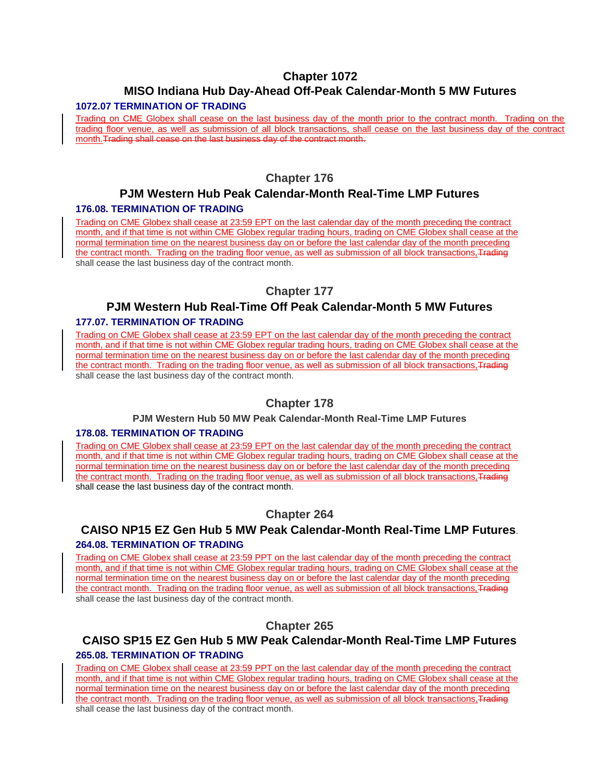# **MISO Indiana Hub Day-Ahead Off-Peak Calendar-Month 5 MW Futures**

#### **1072.07 TERMINATION OF TRADING**

Trading on CME Globex shall cease on the last business day of the month prior to the contract month. Trading on the trading floor venue, as well as submission of all block transactions, shall cease on the last business day of the contract month.Trading shall cease on the last business day of the contract month.

# **Chapter 176**

# **PJM Western Hub Peak Calendar-Month Real-Time LMP Futures**

#### **176.08. TERMINATION OF TRADING**

Trading on CME Globex shall cease at 23:59 EPT on the last calendar day of the month preceding the contract month, and if that time is not within CME Globex regular trading hours, trading on CME Globex shall cease at the normal termination time on the nearest business day on or before the last calendar day of the month preceding the contract month. Trading on the trading floor venue, as well as submission of all block transactions, Trading shall cease the last business day of the contract month.

# **Chapter 177**

# **PJM Western Hub Real-Time Off Peak Calendar-Month 5 MW Futures**

# **177.07. TERMINATION OF TRADING**

Trading on CME Globex shall cease at 23:59 EPT on the last calendar day of the month preceding the contract month, and if that time is not within CME Globex regular trading hours, trading on CME Globex shall cease at the normal termination time on the nearest business day on or before the last calendar day of the month preceding the contract month. Trading on the trading floor venue, as well as submission of all block transactions, Trading shall cease the last business day of the contract month.

#### **Chapter 178**

#### **PJM Western Hub 50 MW Peak Calendar-Month Real-Time LMP Futures**

#### **178.08. TERMINATION OF TRADING**

Trading on CME Globex shall cease at 23:59 EPT on the last calendar day of the month preceding the contract month, and if that time is not within CME Globex regular trading hours, trading on CME Globex shall cease at the normal termination time on the nearest business day on or before the last calendar day of the month preceding the contract month. Trading on the trading floor venue, as well as submission of all block transactions, Trading shall cease the last business day of the contract month.

#### **Chapter 264**

# **CAISO NP15 EZ Gen Hub 5 MW Peak Calendar-Month Real-Time LMP Futures**.

#### **264.08. TERMINATION OF TRADING**

Trading on CME Globex shall cease at 23:59 PPT on the last calendar day of the month preceding the contract month, and if that time is not within CME Globex regular trading hours, trading on CME Globex shall cease at the normal termination time on the nearest business day on or before the last calendar day of the month preceding the contract month. Trading on the trading floor venue, as well as submission of all block transactions, Trading shall cease the last business day of the contract month.

#### **Chapter 265**

#### **CAISO SP15 EZ Gen Hub 5 MW Peak Calendar-Month Real-Time LMP Futures 265.08. TERMINATION OF TRADING**

Trading on CME Globex shall cease at 23:59 PPT on the last calendar day of the month preceding the contract month, and if that time is not within CME Globex regular trading hours, trading on CME Globex shall cease at the normal termination time on the nearest business day on or before the last calendar day of the month preceding the contract month. Trading on the trading floor venue, as well as submission of all block transactions. Trading shall cease the last business day of the contract month.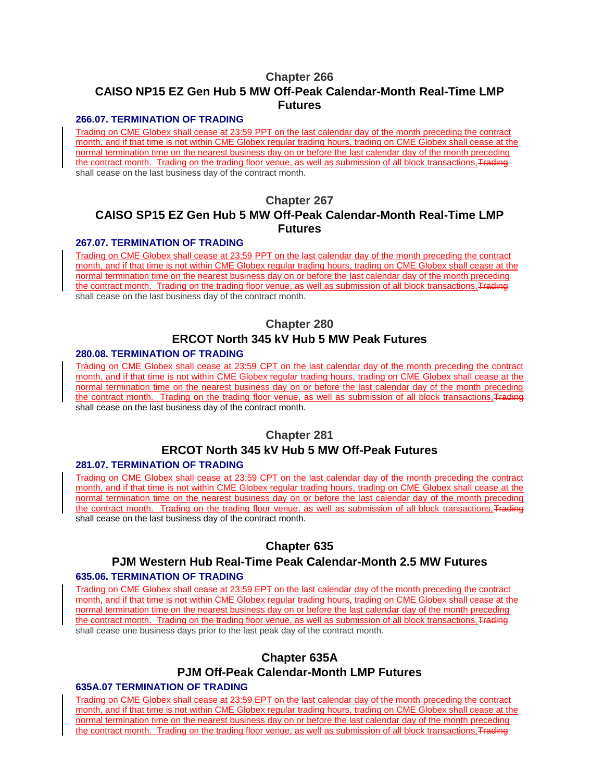# **Chapter 266 CAISO NP15 EZ Gen Hub 5 MW Off-Peak Calendar-Month Real-Time LMP Futures**

#### **266.07. TERMINATION OF TRADING**

Trading on CME Globex shall cease at 23:59 PPT on the last calendar day of the month preceding the contract month, and if that time is not within CME Globex regular trading hours, trading on CME Globex shall cease at the normal termination time on the nearest business day on or before the last calendar day of the month preceding the contract month. Trading on the trading floor venue, as well as submission of all block transactions, Trading shall cease on the last business day of the contract month.

# **Chapter 267 CAISO SP15 EZ Gen Hub 5 MW Off-Peak Calendar-Month Real-Time LMP Futures**

#### **267.07. TERMINATION OF TRADING**

Trading on CME Globex shall cease at 23:59 PPT on the last calendar day of the month preceding the contract month, and if that time is not within CME Globex regular trading hours, trading on CME Globex shall cease at the normal termination time on the nearest business day on or before the last calendar day of the month preceding the contract month. Trading on the trading floor venue, as well as submission of all block transactions, Trading shall cease on the last business day of the contract month.

# **Chapter 280 ERCOT North 345 kV Hub 5 MW Peak Futures**

#### **280.08. TERMINATION OF TRADING**

Trading on CME Globex shall cease at 23:59 CPT on the last calendar day of the month preceding the contract month, and if that time is not within CME Globex regular trading hours, trading on CME Globex shall cease at the normal termination time on the nearest business day on or before the last calendar day of the month preceding the contract month. Trading on the trading floor venue, as well as submission of all block transactions, Trading shall cease on the last business day of the contract month.

#### **Chapter 281**

# **ERCOT North 345 kV Hub 5 MW Off-Peak Futures**

#### **281.07. TERMINATION OF TRADING**

Trading on CME Globex shall cease at 23:59 CPT on the last calendar day of the month preceding the contract month, and if that time is not within CME Globex regular trading hours, trading on CME Globex shall cease at the normal termination time on the nearest business day on or before the last calendar day of the month preceding the contract month. Trading on the trading floor venue, as well as submission of all block transactions, Trading shall cease on the last business day of the contract month.

#### **Chapter 635**

#### **PJM Western Hub Real-Time Peak Calendar-Month 2.5 MW Futures**

#### **635.06. TERMINATION OF TRADING**

Trading on CME Globex shall cease at 23:59 EPT on the last calendar day of the month preceding the contract month, and if that time is not within CME Globex regular trading hours, trading on CME Globex shall cease at the normal termination time on the nearest business day on or before the last calendar day of the month preceding the contract month. Trading on the trading floor venue, as well as submission of all block transactions, Trading shall cease one business days prior to the last peak day of the contract month.

#### **Chapter 635A**

### **PJM Off-Peak Calendar-Month LMP Futures**

#### **635A.07 TERMINATION OF TRADING**

Trading on CME Globex shall cease at 23:59 EPT on the last calendar day of the month preceding the contract month, and if that time is not within CME Globex regular trading hours, trading on CME Globex shall cease at the normal termination time on the nearest business day on or before the last calendar day of the month preceding the contract month. Trading on the trading floor venue, as well as submission of all block transactions, Trading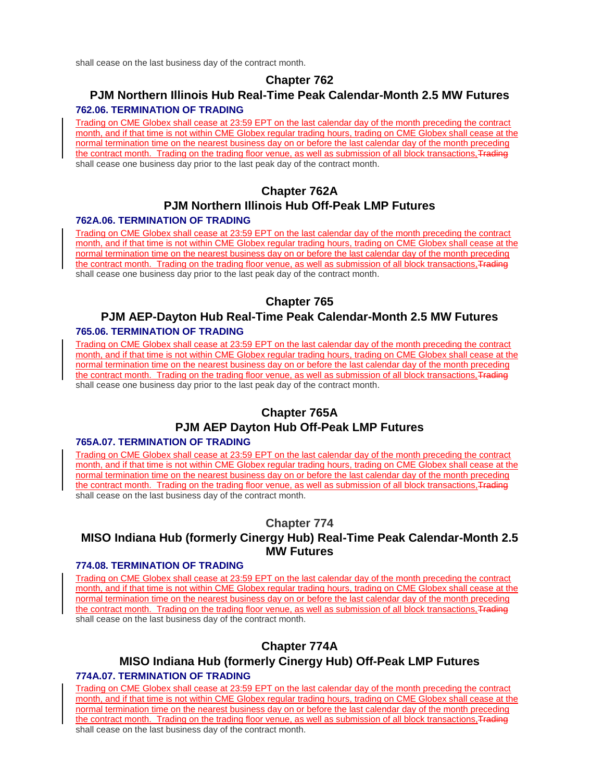shall cease on the last business day of the contract month.

# **Chapter 762**

# **PJM Northern Illinois Hub Real-Time Peak Calendar-Month 2.5 MW Futures 762.06. TERMINATION OF TRADING**

Trading on CME Globex shall cease at 23:59 EPT on the last calendar day of the month preceding the contract month, and if that time is not within CME Globex regular trading hours, trading on CME Globex shall cease at the normal termination time on the nearest business day on or before the last calendar day of the month preceding the contract month. Trading on the trading floor venue, as well as submission of all block transactions, Trading shall cease one business day prior to the last peak day of the contract month.

# **Chapter 762A**

# **PJM Northern Illinois Hub Off-Peak LMP Futures**

#### **762A.06. TERMINATION OF TRADING**

Trading on CME Globex shall cease at 23:59 EPT on the last calendar day of the month preceding the contract month, and if that time is not within CME Globex regular trading hours, trading on CME Globex shall cease at the normal termination time on the nearest business day on or before the last calendar day of the month preceding the contract month. Trading on the trading floor venue, as well as submission of all block transactions, Trading shall cease one business day prior to the last peak day of the contract month.

# **Chapter 765**

# **PJM AEP-Dayton Hub Real-Time Peak Calendar-Month 2.5 MW Futures**

#### **765.06. TERMINATION OF TRADING**

Trading on CME Globex shall cease at 23:59 EPT on the last calendar day of the month preceding the contract month, and if that time is not within CME Globex regular trading hours, trading on CME Globex shall cease at the normal termination time on the nearest business day on or before the last calendar day of the month preceding the contract month. Trading on the trading floor venue, as well as submission of all block transactions, Trading shall cease one business day prior to the last peak day of the contract month.

# **Chapter 765A**

# **PJM AEP Dayton Hub Off-Peak LMP Futures**

#### **765A.07. TERMINATION OF TRADING**

Trading on CME Globex shall cease at 23:59 EPT on the last calendar day of the month preceding the contract month, and if that time is not within CME Globex regular trading hours, trading on CME Globex shall cease at the normal termination time on the nearest business day on or before the last calendar day of the month preceding the contract month. Trading on the trading floor venue, as well as submission of all block transactions, Trading shall cease on the last business day of the contract month.

# **Chapter 774**

# **MISO Indiana Hub (formerly Cinergy Hub) Real-Time Peak Calendar-Month 2.5 MW Futures**

#### **774.08. TERMINATION OF TRADING**

Trading on CME Globex shall cease at 23:59 EPT on the last calendar day of the month preceding the contract month, and if that time is not within CME Globex regular trading hours, trading on CME Globex shall cease at the normal termination time on the nearest business day on or before the last calendar day of the month preceding the contract month. Trading on the trading floor venue, as well as submission of all block transactions, Trading shall cease on the last business day of the contract month.

# **Chapter 774A**

# **MISO Indiana Hub (formerly Cinergy Hub) Off-Peak LMP Futures**

# **774A.07. TERMINATION OF TRADING**

Trading on CME Globex shall cease at 23:59 EPT on the last calendar day of the month preceding the contract month, and if that time is not within CME Globex regular trading hours, trading on CME Globex shall cease at the normal termination time on the nearest business day on or before the last calendar day of the month preceding the contract month. Trading on the trading floor venue, as well as submission of all block transactions, Trading shall cease on the last business day of the contract month.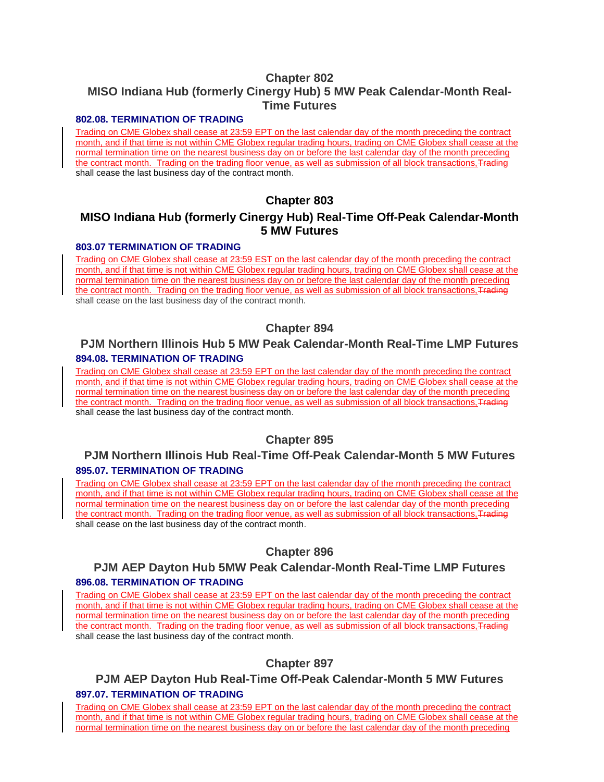# **Chapter 802 MISO Indiana Hub (formerly Cinergy Hub) 5 MW Peak Calendar-Month Real-Time Futures**

#### **802.08. TERMINATION OF TRADING**

Trading on CME Globex shall cease at 23:59 EPT on the last calendar day of the month preceding the contract month, and if that time is not within CME Globex regular trading hours, trading on CME Globex shall cease at the normal termination time on the nearest business day on or before the last calendar day of the month preceding the contract month. Trading on the trading floor venue, as well as submission of all block transactions, Trading shall cease the last business day of the contract month.

# **Chapter 803**

# **MISO Indiana Hub (formerly Cinergy Hub) Real-Time Off-Peak Calendar-Month 5 MW Futures**

#### **803.07 TERMINATION OF TRADING**

Trading on CME Globex shall cease at 23:59 EST on the last calendar day of the month preceding the contract month, and if that time is not within CME Globex regular trading hours, trading on CME Globex shall cease at the normal termination time on the nearest business day on or before the last calendar day of the month preceding the contract month. Trading on the trading floor venue, as well as submission of all block transactions, Trading shall cease on the last business day of the contract month.

# **Chapter 894**

# **PJM Northern Illinois Hub 5 MW Peak Calendar-Month Real-Time LMP Futures 894.08. TERMINATION OF TRADING**

Trading on CME Globex shall cease at 23:59 EPT on the last calendar day of the month preceding the contract month, and if that time is not within CME Globex regular trading hours, trading on CME Globex shall cease at the normal termination time on the nearest business day on or before the last calendar day of the month preceding the contract month. Trading on the trading floor venue, as well as submission of all block transactions, Trading shall cease the last business day of the contract month.

# **Chapter 895**

# **PJM Northern Illinois Hub Real-Time Off-Peak Calendar-Month 5 MW Futures 895.07. TERMINATION OF TRADING**

Trading on CME Globex shall cease at 23:59 EPT on the last calendar day of the month preceding the contract month, and if that time is not within CME Globex regular trading hours, trading on CME Globex shall cease at the normal termination time on the nearest business day on or before the last calendar day of the month preceding the contract month. Trading on the trading floor venue, as well as submission of all block transactions, Trading shall cease on the last business day of the contract month.

# **Chapter 896**

# **PJM AEP Dayton Hub 5MW Peak Calendar-Month Real-Time LMP Futures 896.08. TERMINATION OF TRADING**

Trading on CME Globex shall cease at 23:59 EPT on the last calendar day of the month preceding the contract month, and if that time is not within CME Globex regular trading hours, trading on CME Globex shall cease at the normal termination time on the nearest business day on or before the last calendar day of the month preceding the contract month. Trading on the trading floor venue, as well as submission of all block transactions, Trading shall cease the last business day of the contract month.

# **Chapter 897**

# **PJM AEP Dayton Hub Real-Time Off-Peak Calendar-Month 5 MW Futures 897.07. TERMINATION OF TRADING**

Trading on CME Globex shall cease at 23:59 EPT on the last calendar day of the month preceding the contract month, and if that time is not within CME Globex regular trading hours, trading on CME Globex shall cease at the normal termination time on the nearest business day on or before the last calendar day of the month preceding